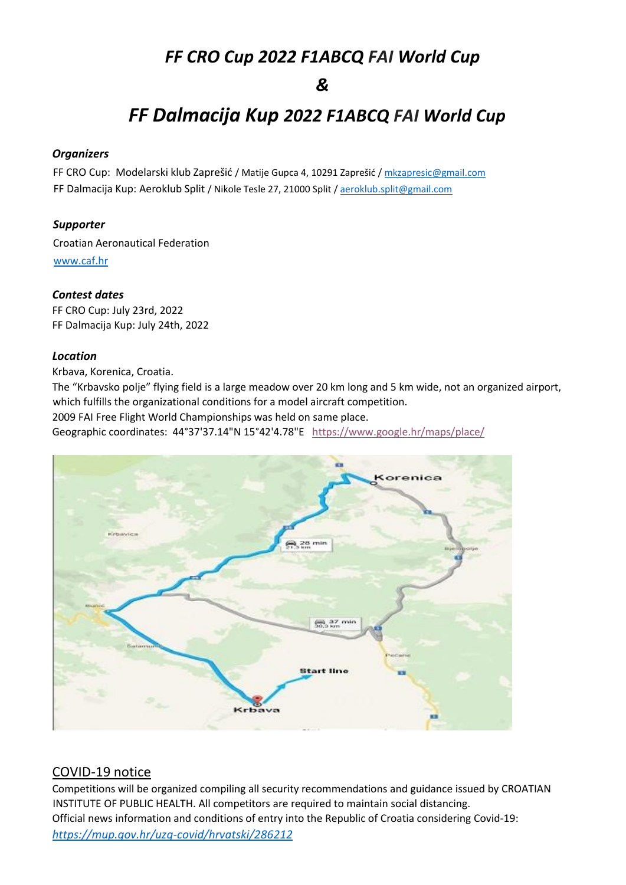## *FF CRO Cup 2022 F1ABCQ FAI World Cup*

### *&*

# *FF Dalmacija Kup 2022 F1ABCQ FAI World Cup*

#### *Organizers*

FF CRO Cup: Modelarski klub Zaprešić / Matije Gupca 4, 10291 Zaprešić [/ mkzapresic@gmail.com](mailto:mkzapresic@gmail.com) FF Dalmacija Kup: Aeroklub Split / Nikole Tesle 27, 21000 Split [/ aeroklub.split@gmail.com](mailto:aeroklub.split@gmail.com)

#### *Supporter*

Croatian Aeronautical Federation [www.caf.hr](http://www.caf.hr/)

#### *Contest dates*

FF CRO Cup: July 23rd, 2022 FF Dalmacija Kup: July 24th, 2022

#### *Location*

Krbava, Korenica, Croatia.

The "Krbavsko polje" flying field is a large meadow over 20 km long and 5 km wide, not an organized airport, which fulfills the organizational conditions for a model aircraft competition.

2009 FAI Free Flight World Championships was held on same place.

Geographic coordinates: 44°37'37.14"N 15°42'4.78"E [https://www.google.hr/maps/place/](https://www.google.hr/maps/place/44°37)



#### COVID-19 notice

Competitions will be organized compiling all security recommendations and guidance issued by CROATIAN INSTITUTE OF PUBLIC HEALTH. All competitors are required to maintain social distancing. Official news information and conditions of entry into the Republic of Croatia considering Covid-19: *<https://mup.gov.hr/uzg-covid/hrvatski/286212>*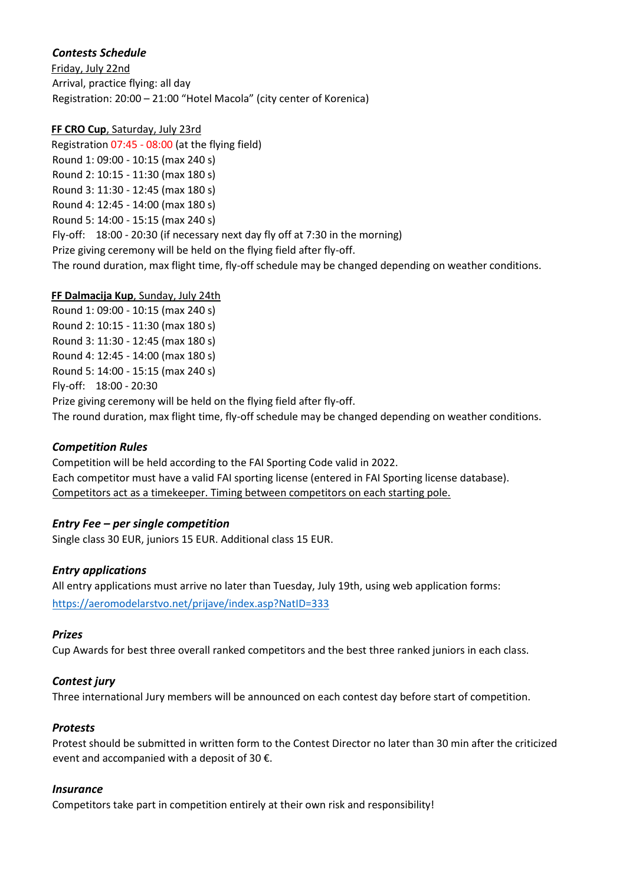#### *Contests Schedule*

Friday, July 22nd Arrival, practice flying: all day Registration: 20:00 – 21:00 "Hotel Macola" (city center of Korenica)

#### **FF CRO Cup**, Saturday, July 23rd

Registration 07:45 - 08:00 (at the flying field) Round 1: 09:00 - 10:15 (max 240 s) Round 2: 10:15 - 11:30 (max 180 s) Round 3: 11:30 - 12:45 (max 180 s) Round 4: 12:45 - 14:00 (max 180 s) Round 5: 14:00 - 15:15 (max 240 s) Fly-off: 18:00 - 20:30 (if necessary next day fly off at 7:30 in the morning) Prize giving ceremony will be held on the flying field after fly-off. The round duration, max flight time, fly-off schedule may be changed depending on weather conditions.

#### **FF Dalmacija Kup**, Sunday, July 24th

Round 1: 09:00 - 10:15 (max 240 s) Round 2: 10:15 - 11:30 (max 180 s) Round 3: 11:30 - 12:45 (max 180 s) Round 4: 12:45 - 14:00 (max 180 s) Round 5: 14:00 - 15:15 (max 240 s) Fly-off: 18:00 - 20:30 Prize giving ceremony will be held on the flying field after fly-off.

The round duration, max flight time, fly-off schedule may be changed depending on weather conditions.

#### *Competition Rules*

Competition will be held according to the FAI Sporting Code valid in 2022. Each competitor must have a valid FAI sporting license (entered in FAI Sporting license database). Competitors act as a timekeeper. Timing between competitors on each starting pole.

#### *Entry Fee – per single competition*

Single class 30 EUR, juniors 15 EUR. Additional class 15 EUR.

#### *Entry applications*

All entry applications must arrive no later than Tuesday, July 19th, using web application forms: <https://aeromodelarstvo.net/prijave/index.asp?NatID=333>

#### *Prizes*

Cup Awards for best three overall ranked competitors and the best three ranked juniors in each class.

#### *Contest jury*

Three international Jury members will be announced on each contest day before start of competition.

#### *Protests*

Protest should be submitted in written form to the Contest Director no later than 30 min after the criticized event and accompanied with a deposit of 30  $\epsilon$ .

#### *Insurance*

Competitors take part in competition entirely at their own risk and responsibility!